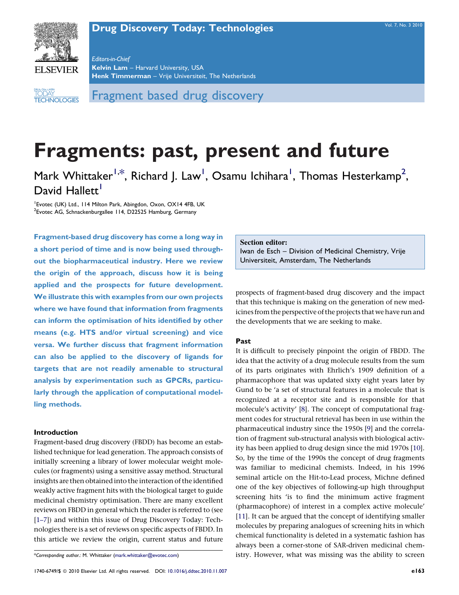## **[Drug Discovery Today: Technologies](http://dx.doi.org/10.1016/j.ddtec.2010.11.007)** [Vol. 7, No. 3 2010](http://dx.doi.org/10.1016/j.ddtec.2010.11.007)



Editors-in-Chief Kelvin Lam - Harvard University, USA Henk Timmerman - Vrije Universiteit, The Netherlands

TECHNOLOGIES **DRUG DISCOVERY** TODAY

Fragment based drug discovery

# Fragments: past, present and future

Mark Whittaker<sup>1,\*</sup>, Richard J. Law<sup>1</sup>, Osamu Ichihara<sup>1</sup>, Thomas Hesterkamp<sup>2</sup>, David Hallett<sup>1</sup>

<sup>1</sup> Evotec (UK) Ltd., 114 Milton Park, Abingdon, Oxon, OX14 4FB, UK <sup>2</sup> Evotec AG, Schnackenburgallee 114, D22525 Hamburg, Germany

Fragment-based drug discovery has come a long way in a short period of time and is now being used throughout the biopharmaceutical industry. Here we review the origin of the approach, discuss how it is being applied and the prospects for future development. We illustrate this with examples from our own projects where we have found that information from fragments can inform the optimisation of hits identified by other means (e.g. HTS and/or virtual screening) and vice versa. We further discuss that fragment information can also be applied to the discovery of ligands for targets that are not readily amenable to structural analysis by experimentation such as GPCRs, particularly through the application of computational modelling methods.

#### Introduction

Fragment-based drug discovery (FBDD) has become an established technique for lead generation. The approach consists of initially screening a library of lower molecular weight molecules (or fragments) using a sensitive assay method. Structural insights are then obtained into the interaction of the identified weakly active fragment hits with the biological target to guide medicinal chemistry optimisation. There are many excellent reviews on FBDD in general which the reader is referred to (see [\[1–7\]](#page-7-0)) and within this issue of Drug Discovery Today: Technologies there is a set of reviews on specific aspects of FBDD. In this article we review the origin, current status and future

#### Section editor:

Iwan de Esch – Division of Medicinal Chemistry, Vrije Universiteit, Amsterdam, The Netherlands

prospects of fragment-based drug discovery and the impact that this technique is making on the generation of new medicines from the perspective of the projects that we have run and the developments that we are seeking to make.

#### Past

It is difficult to precisely pinpoint the origin of FBDD. The idea that the activity of a drug molecule results from the sum of its parts originates with Ehrlich's 1909 definition of a pharmacophore that was updated sixty eight years later by Gund to be 'a set of structural features in a molecule that is recognized at a receptor site and is responsible for that molecule's activity' [\[8](#page-7-0)]. The concept of computational fragment codes for structural retrieval has been in use within the pharmaceutical industry since the 1950s [[9\]](#page-7-0) and the correlation of fragment sub-structural analysis with biological activity has been applied to drug design since the mid 1970s [\[10](#page-7-0)]. So, by the time of the 1990s the concept of drug fragments was familiar to medicinal chemists. Indeed, in his 1996 seminal article on the Hit-to-Lead process, Michne defined one of the key objectives of following-up high throughput screening hits 'is to find the minimum active fragment (pharmacophore) of interest in a complex active molecule' [[11\]](#page-7-0). It can be argued that the concept of identifying smaller molecules by preparing analogues of screening hits in which chemical functionality is deleted in a systematic fashion has always been a corner-stone of SAR-driven medicinal chemistry. However, what was missing was the ability to screen

<sup>\*</sup>Corresponding author.: M. Whittaker ([mark.whittaker@evotec.com\)](mailto:mark.whittaker@evotec.com)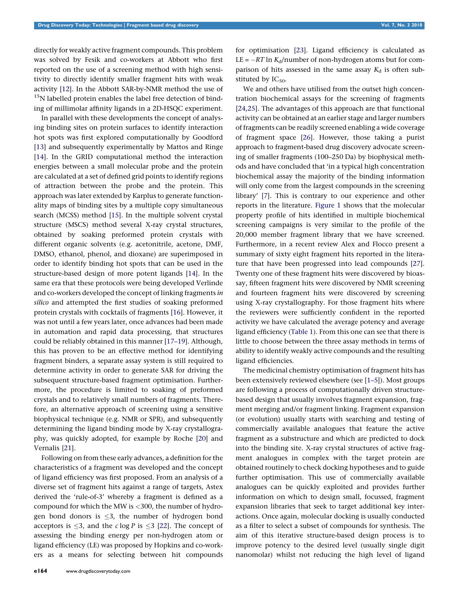directly for weakly active fragment compounds. This problem was solved by Fesik and co-workers at Abbott who first reported on the use of a screening method with high sensitivity to directly identify smaller fragment hits with weak activity [[12\]](#page-7-0). In the Abbott SAR-by-NMR method the use of <sup>15</sup>N labelled protein enables the label free detection of binding of millimolar affinity ligands in a 2D-HSQC experiment.

In parallel with these developments the concept of analysing binding sites on protein surfaces to identify interaction hot spots was first explored computationally by Goodford [\[13\]](#page-7-0) and subsequently experimentally by Mattos and Ringe [\[14\]](#page-7-0). In the GRID computational method the interaction energies between a small molecular probe and the protein are calculated at a set of defined grid points to identify regions of attraction between the probe and the protein. This approach was later extended by Karplus to generate functionality maps of binding sites by a multiple copy simultaneous search (MCSS) method [[15\]](#page-7-0). In the multiple solvent crystal structure (MSCS) method several X-ray crystal structures, obtained by soaking preformed protein crystals with different organic solvents (e.g. acetonitrile, acetone, DMF, DMSO, ethanol, phenol, and dioxane) are superimposed in order to identify binding hot spots that can be used in the structure-based design of more potent ligands [[14](#page-7-0)]. In the same era that these protocols were being developed Verlinde and co-workers developed the concept of linking fragments in silico and attempted the first studies of soaking preformed protein crystals with cocktails of fragments [[16](#page-7-0)]. However, it was not until a few years later, once advances had been made in automation and rapid data processing, that structures could be reliably obtained in this manner [\[17–19](#page-7-0)]. Although, this has proven to be an effective method for identifying fragment binders, a separate assay system is still required to determine activity in order to generate SAR for driving the subsequent structure-based fragment optimisation. Furthermore, the procedure is limited to soaking of preformed crystals and to relatively small numbers of fragments. Therefore, an alternative approach of screening using a sensitive biophysical technique (e.g. NMR or SPR), and subsequently determining the ligand binding mode by X-ray crystallography, was quickly adopted, for example by Roche [[20\]](#page-7-0) and Vernalis [\[21\]](#page-7-0).

Following on from these early advances, a definition for the characteristics of a fragment was developed and the concept of ligand efficiency was first proposed. From an analysis of a diverse set of fragment hits against a range of targets, Astex derived the 'rule-of-3' whereby a fragment is defined as a compound for which the MW is <300, the number of hydrogen bond donors is  $\leq$ 3, the number of hydrogen bond acceptors is  $\leq$ 3, and the *c* log *P* is  $\leq$ 3 [[22](#page-7-0)]. The concept of assessing the binding energy per non-hydrogen atom or ligand efficiency (LE) was proposed by Hopkins and co-workers as a means for selecting between hit compounds for optimisation [\[23\]](#page-7-0). Ligand efficiency is calculated as LE =  $-RT \ln K_d$ /number of non-hydrogen atoms but for comparison of hits assessed in the same assay  $K_d$  is often substituted by  $IC_{50}$ .

We and others have utilised from the outset high concentration biochemical assays for the screening of fragments [[24,25\]](#page-7-0). The advantages of this approach are that functional activity can be obtained at an earlier stage and larger numbers of fragments can be readily screened enabling a wide coverage of fragment space [\[26\]](#page-7-0). However, those taking a purist approach to fragment-based drug discovery advocate screening of smaller fragments (100–250 Da) by biophysical methods and have concluded that 'in a typical high concentration biochemical assay the majority of the binding information will only come from the largest compounds in the screening library' [\[7](#page-7-0)]. This is contrary to our experience and other reports in the literature. [Figure 1](#page-2-0) shows that the molecular property profile of hits identified in multiple biochemical screening campaigns is very similar to the profile of the 20,000 member fragment library that we have screened. Furthermore, in a recent review Alex and Flocco present a summary of sixty eight fragment hits reported in the literature that have been progressed into lead compounds [\[27](#page-7-0)]. Twenty one of these fragment hits were discovered by bioassay, fifteen fragment hits were discovered by NMR screening and fourteen fragment hits were discovered by screening using X-ray crystallography. For those fragment hits where the reviewers were sufficiently confident in the reported activity we have calculated the average potency and average ligand efficiency [\(Table 1](#page-2-0)). From this one can see that there is little to choose between the three assay methods in terms of ability to identify weakly active compounds and the resulting ligand efficiencies.

The medicinal chemistry optimisation of fragment hits has been extensively reviewed elsewhere (see [[1–5\]](#page-7-0)). Most groups are following a process of computationally driven structurebased design that usually involves fragment expansion, fragment merging and/or fragment linking. Fragment expansion (or evolution) usually starts with searching and testing of commercially available analogues that feature the active fragment as a substructure and which are predicted to dock into the binding site. X-ray crystal structures of active fragment analogues in complex with the target protein are obtained routinely to check docking hypotheses and to guide further optimisation. This use of commercially available analogues can be quickly exploited and provides further information on which to design small, focussed, fragment expansion libraries that seek to target additional key interactions. Once again, molecular docking is usually conducted as a filter to select a subset of compounds for synthesis. The aim of this iterative structure-based design process is to improve potency to the desired level (usually single digit nanomolar) whilst not reducing the high level of ligand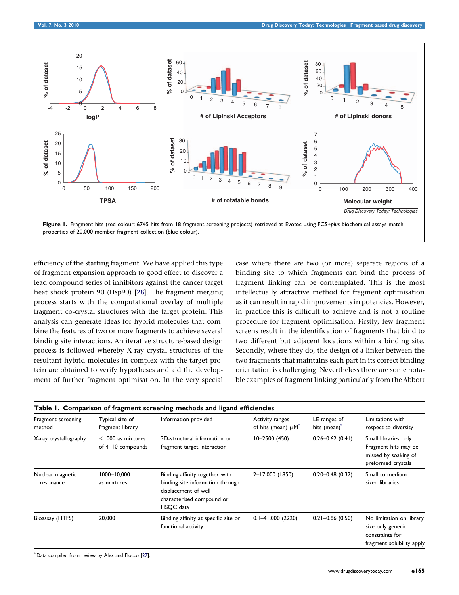<span id="page-2-0"></span>

properties of 20,000 member fragment collection (blue colour).

efficiency of the starting fragment. We have applied this type of fragment expansion approach to good effect to discover a lead compound series of inhibitors against the cancer target heat shock protein 90 (Hsp90) [\[28\]](#page-7-0). The fragment merging process starts with the computational overlay of multiple fragment co-crystal structures with the target protein. This analysis can generate ideas for hybrid molecules that combine the features of two or more fragments to achieve several binding site interactions. An iterative structure-based design process is followed whereby X-ray crystal structures of the resultant hybrid molecules in complex with the target protein are obtained to verify hypotheses and aid the development of further fragment optimisation. In the very special

case where there are two (or more) separate regions of a binding site to which fragments can bind the process of fragment linking can be contemplated. This is the most intellectually attractive method for fragment optimisation as it can result in rapid improvements in potencies. However, in practice this is difficult to achieve and is not a routine procedure for fragment optimisation. Firstly, few fragment screens result in the identification of fragments that bind to two different but adjacent locations within a binding site. Secondly, where they do, the design of a linker between the two fragments that maintains each part in its correct binding orientation is challenging. Nevertheless there are some notable examples of fragment linking particularly from the Abbott

| Table 1. Comparison of fragment screening methods and ligand efficiencies |                                           |                                                                                                                                      |                                                        |                                          |                                                                                               |
|---------------------------------------------------------------------------|-------------------------------------------|--------------------------------------------------------------------------------------------------------------------------------------|--------------------------------------------------------|------------------------------------------|-----------------------------------------------------------------------------------------------|
| Fragment screening<br>method                                              | Typical size of<br>fragment library       | Information provided                                                                                                                 | Activity ranges<br>of hits (mean) $\mu$ M <sup>*</sup> | LE ranges of<br>hits (mean) <sup>*</sup> | Limitations with<br>respect to diversity                                                      |
| X-ray crystallography                                                     | $<$ 1000 as mixtures<br>of 4-10 compounds | 3D-structural information on<br>fragment target interaction                                                                          | $10 - 2500$ (450)                                      | $0.26 - 0.62$ (0.41)                     | Small libraries only.<br>Fragment hits may be<br>missed by soaking of<br>preformed crystals   |
| Nuclear magnetic<br>resonance                                             | 1000-10,000<br>as mixtures                | Binding affinity together with<br>binding site information through<br>displacement of well<br>characterised compound or<br>HSQC data | 2-17,000 (1850)                                        | $0.20 - 0.48$ (0.32)                     | Small to medium<br>sized libraries                                                            |
| Bioassay (HTFS)                                                           | 20,000                                    | Binding affinity at specific site or<br>functional activity                                                                          | $0.1 - 41,000(2220)$                                   | $0.21 - 0.86$ (0.50)                     | No limitation on library<br>size only generic<br>constraints for<br>fragment solubility apply |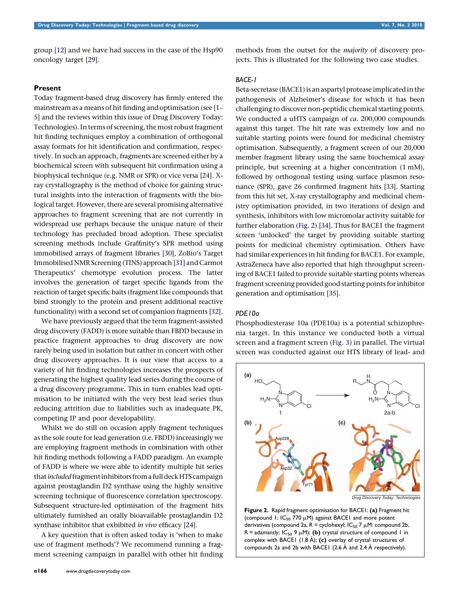group [\[12\]](#page-7-0) and we have had success in the case of the Hsp90 oncology target [\[29\]](#page-7-0).

### Present

Today fragment-based drug discovery has firmly entered the mainstream as a means of hit finding and optimisation (see [\[1–](#page-7-0) [5](#page-7-0)] and the reviews within this issue of Drug Discovery Today: Technologies). In terms of screening, themost robust fragment hit finding techniques employ a combination of orthogonal assay formats for hit identification and confirmation, respectively. In such an approach, fragments are screened either by a biochemical screen with subsequent hit confirmation using a biophysical technique (e.g. NMR or SPR) or vice versa [[24](#page-7-0)]. Xray crystallography is the method of choice for gaining structural insights into the interaction of fragments with the biological target. However, there are several promising alternative approaches to fragment screening that are not currently in widespread use perhaps because the unique nature of their technology has precluded broad adoption. These specialist screening methods include Graffinity's SPR method using immobilised arrays of fragment libraries [\[30\]](#page-8-0), ZoBio's Target Immobilised NMR Screening (TINS) approach [\[31](#page-8-0)] and Carmot Therapeutics' chemotype evolution process. The latter involves the generation of target specific ligands from the reaction of target specific baits (fragment like compounds that bind strongly to the protein and present additional reactive functionality) with a second set of companion fragments [\[32](#page-8-0)].

We have previously argued that the term fragment-assisted drug discovery (FADD) is more suitable than FBDD because in practice fragment approaches to drug discovery are now rarely being used in isolation but rather in concert with other drug discovery approaches. It is our view that access to a variety of hit finding technologies increases the prospects of generating the highest quality lead series during the course of a drug discovery programme. This in turn enables lead optimisation to be initiated with the very best lead series thus reducing attrition due to liabilities such as inadequate PK, competing IP and poor developability.

Whilst we do still on occasion apply fragment techniques as the sole route for lead generation (i.e. FBDD) increasingly we are employing fragment methods in combination with other hit finding methods following a FADD paradigm. An example of FADD is where we were able to identify multiple hit series that included fragment inhibitors from a full deck HTS campaign against prostaglandin D2 synthase using the highly sensitive screening technique of fluorescence correlation spectroscopy. Subsequent structure-led optimisation of the fragment hits ultimately furnished an orally bioavailable prostaglandin D2 synthase inhibitor that exhibited *in vivo* efficacy [\[24](#page-7-0)].

A key question that is often asked today is 'when to make use of fragment methods'? We recommend running a fragment screening campaign in parallel with other hit finding methods from the outset for the majority of discovery projects. This is illustrated for the following two case studies.

#### BACE-1

Beta-secretase (BACE1) is an aspartyl protease implicated in the pathogenesis of Alzheimer's disease for which it has been challenging to discover non-peptidic chemical starting points. We conducted a uHTS campaign of *ca*. 200,000 compounds against this target. The hit rate was extremely low and no suitable starting points were found for medicinal chemistry optimisation. Subsequently, a fragment screen of our 20,000 member fragment library using the same biochemical assay principle, but screening at a higher concentration (1 mM), followed by orthogonal testing using surface plasmon resonance (SPR), gave 26 confirmed fragment hits [\[33\]](#page-8-0). Starting from this hit set, X-ray crystallography and medicinal chemistry optimisation provided, in two iterations of design and synthesis, inhibitors with low micromolar activity suitable for further elaboration (Fig. 2) [\[34\]](#page-8-0). Thus for BACE1 the fragment screen 'unlocked' the target by providing suitable starting points for medicinal chemistry optimisation. Others have had similar experiences in hit finding for BACE1. For example, AstraZeneca have also reported that high throughput screening of BACE1 failed to provide suitable starting points whereas fragment screening provided good starting points for inhibitor generation and optimisation [[35](#page-8-0)].

#### PDE10a

Phosphodiesterase 10a (PDE10a) is a potential schizophrenia target. In this instance we conducted both a virtual screen and a fragment screen ([Fig. 3\)](#page-4-0) in parallel. The virtual screen was conducted against our HTS library of lead- and



*Drug Discovery Today: Technologies*

Figure 2. Rapid fragment optimisation for BACE1: (a) Fragment hit (compound 1;  $IC_{50}$  770  $\mu$ M) against BACE1 and more potent derivatives (compound 2a,  $R =$  cyclohexyl;  $IC_{50}$  7  $\mu$ M: compound 2b, R = adamantly; IC<sub>50</sub> 9  $\mu$ M); (b) crystal structure of compound 1 in complex with BACE1 (1.8 A); (c) overlay of crystal structures of compounds 2a and 2b with BACE1 (2.6 Å and 2.4 Å respectively).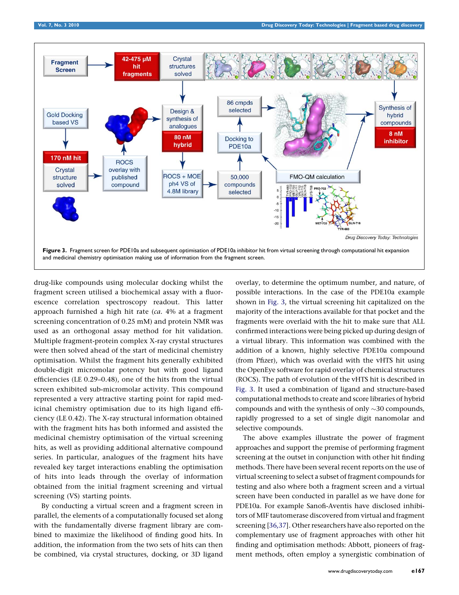<span id="page-4-0"></span>

drug-like compounds using molecular docking whilst the fragment screen utilised a biochemical assay with a fluorescence correlation spectroscopy readout. This latter approach furnished a high hit rate ( $ca$ . 4% at a fragment screening concentration of 0.25 mM) and protein NMR was used as an orthogonal assay method for hit validation. Multiple fragment-protein complex X-ray crystal structures were then solved ahead of the start of medicinal chemistry optimisation. Whilst the fragment hits generally exhibited double-digit micromolar potency but with good ligand efficiencies (LE 0.29–0.48), one of the hits from the virtual screen exhibited sub-micromolar activity. This compound represented a very attractive starting point for rapid medicinal chemistry optimisation due to its high ligand efficiency (LE 0.42). The X-ray structural information obtained with the fragment hits has both informed and assisted the medicinal chemistry optimisation of the virtual screening hits, as well as providing additional alternative compound series. In particular, analogues of the fragment hits have revealed key target interactions enabling the optimisation of hits into leads through the overlay of information obtained from the initial fragment screening and virtual screening (VS) starting points.

By conducting a virtual screen and a fragment screen in parallel, the elements of a computationally focused set along with the fundamentally diverse fragment library are combined to maximize the likelihood of finding good hits. In addition, the information from the two sets of hits can then be combined, via crystal structures, docking, or 3D ligand

overlay, to determine the optimum number, and nature, of possible interactions. In the case of the PDE10a example shown in Fig. 3, the virtual screening hit capitalized on the majority of the interactions available for that pocket and the fragments were overlaid with the hit to make sure that ALL confirmed interactions were being picked up during design of a virtual library. This information was combined with the addition of a known, highly selective PDE10a compound (from Pfizer), which was overlaid with the vHTS hit using the OpenEye software for rapid overlay of chemical structures (ROCS). The path of evolution of the vHTS hit is described in Fig. 3. It used a combination of ligand and structure-based computational methods to create and score libraries of hybrid compounds and with the synthesis of only  $\sim$ 30 compounds, rapidly progressed to a set of single digit nanomolar and selective compounds.

The above examples illustrate the power of fragment approaches and support the premise of performing fragment screening at the outset in conjunction with other hit finding methods. There have been several recent reports on the use of virtual screening to select a subset of fragment compounds for testing and also where both a fragment screen and a virtual screen have been conducted in parallel as we have done for PDE10a. For example Sanofi-Aventis have disclosed inhibitors of MIF tautomerase discovered from virtual and fragment screening [\[36,37](#page-8-0)]. Other researchers have also reported on the complementary use of fragment approaches with other hit finding and optimisation methods: Abbott, pioneers of fragment methods, often employ a synergistic combination of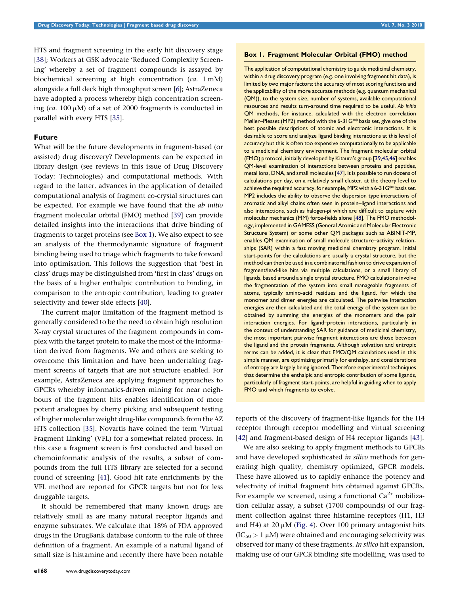HTS and fragment screening in the early hit discovery stage [\[38\]](#page-8-0); Workers at GSK advocate 'Reduced Complexity Screening' whereby a set of fragment compounds is assayed by biochemical screening at high concentration (ca. 1 mM) alongside a full deck high throughput screen [[6\]](#page-7-0); AstraZeneca have adopted a process whereby high concentration screening (ca. 100  $\mu$ M) of a set of 2000 fragments is conducted in parallel with every HTS [[35](#page-8-0)].

#### Future

What will be the future developments in fragment-based (or assisted) drug discovery? Developments can be expected in library design (see reviews in this issue of Drug Discovery Today: Technologies) and computational methods. With regard to the latter, advances in the application of detailed computational analysis of fragment co-crystal structures can be expected. For example we have found that the ab initio fragment molecular orbital (FMO) method [\[39\]](#page-8-0) can provide detailed insights into the interactions that drive binding of fragments to target proteins (see Box 1). We also expect to see an analysis of the thermodynamic signature of fragment binding being used to triage which fragments to take forward into optimisation. This follows the suggestion that 'best in class' drugs may be distinguished from 'first in class' drugs on the basis of a higher enthalpic contribution to binding, in comparison to the entropic contribution, leading to greater selectivity and fewer side effects [[40\]](#page-8-0).

The current major limitation of the fragment method is generally considered to be the need to obtain high resolution X-ray crystal structures of the fragment compounds in complex with the target protein to make the most of the information derived from fragments. We and others are seeking to overcome this limitation and have been undertaking fragment screens of targets that are not structure enabled. For example, AstraZeneca are applying fragment approaches to GPCRs whereby informatics-driven mining for near neighbours of the fragment hits enables identification of more potent analogues by cherry picking and subsequent testing of higher molecular weight drug-like compounds from the AZ HTS collection [[35\]](#page-8-0). Novartis have coined the term 'Virtual Fragment Linking' (VFL) for a somewhat related process. In this case a fragment screen is first conducted and based on chemoinformatic analysis of the results, a subset of compounds from the full HTS library are selected for a second round of screening [[41](#page-8-0)]. Good hit rate enrichments by the VFL method are reported for GPCR targets but not for less druggable targets.

It should be remembered that many known drugs are relatively small as are many natural receptor ligands and enzyme substrates. We calculate that 18% of FDA approved drugs in the DrugBank database conform to the rule of three definition of a fragment. An example of a natural ligand of small size is histamine and recently there have been notable

#### Box 1. Fragment Molecular Orbital (FMO) method

The application of computational chemistry to guide medicinal chemistry, within a drug discovery program (e.g. one involving fragment hit data), is limited by two major factors: the accuracy of most scoring functions and the applicability of the more accurate methods (e.g. quantum mechanical (QM)), to the system size, number of systems, available computational resources and results turn-around time required to be useful. Ab initio QM methods, for instance, calculated with the electron correlation Møller–Plesset (MP2) method with the 6-31G<sup>\*\*</sup> basis set, give one of the best possible descriptions of atomic and electronic interactions. It is desirable to score and analyze ligand binding interactions at this level of accuracy but this is often too expensive computationally to be applicable to a medicinal chemistry environment. The fragment molecular orbital (FMO) protocol, initially developed by Kitaura's group [\[39,45,46\]](#page-8-0) enables QM-level examination of interactions between proteins and peptides, metal ions, DNA, and small molecules [[47\]](#page-8-0). It is possible to run dozens of calculations per day, on a relatively small cluster, at the theory level to achieve the required accuracy, for example, MP2 with a 6-31G<sup>\*\*</sup> basis set. MP2 includes the ability to observe the dispersion type interactions of aromatic and alkyl chains often seen in protein–ligand interactions and also interactions, such as halogen-pi which are difficult to capture with molecular mechanics (MM) force-fields alone [\[48](#page-8-0)]. The FMO methodology, implemented in GAMESS (General Atomic and Molecular Electronic Structure System) or some other QM packages such as ABINIT-MP, enables QM examination of small molecule structure–activity relationships (SAR) within a fast moving medicinal chemistry program. Initial start-points for the calculations are usually a crystal structure, but the method can then be used in a combinatorial fashion to drive expansion of fragment/lead-like hits via multiple calculations, or a small library of ligands, based around a single crystal structure. FMO calculations involve the fragmentation of the system into small manageable fragments of atoms, typically amino-acid residues and the ligand, for which the monomer and dimer energies are calculated. The pairwise interaction energies are then calculated and the total energy of the system can be obtained by summing the energies of the monomers and the pair interaction energies. For ligand–protein interactions, particularly in the context of understanding SAR for guidance of medicinal chemistry, the most important pairwise fragment interactions are those between the ligand and the protein fragments. Although solvation and entropic terms can be added, it is clear that FMO/QM calculations used in this simple manner, are optimizing primarily for enthalpy, and considerations of entropy are largely being ignored. Therefore experimental techniques that determine the enthalpic and entropic contribution of some ligands, particularly of fragment start-points, are helpful in guiding when to apply FMO and which fragments to evolve.

reports of the discovery of fragment-like ligands for the H4 receptor through receptor modelling and virtual screening [[42\]](#page-8-0) and fragment-based design of H4 receptor ligands [\[43\]](#page-8-0).

We are also seeking to apply fragment methods to GPCRs and have developed sophisticated in silico methods for generating high quality, chemistry optimized, GPCR models. These have allowed us to rapidly enhance the potency and selectivity of initial fragment hits obtained against GPCRs. For example we screened, using a functional  $Ca^{2+}$  mobilization cellular assay, a subset (1700 compounds) of our fragment collection against three histamine receptors (H1, H3 and H4) at 20  $\mu$ M [\(Fig. 4](#page-6-0)). Over 100 primary antagonist hits  $(IC_{50} > 1 \mu M)$  were obtained and encouraging selectivity was observed for many of these fragments. In silico hit expansion, making use of our GPCR binding site modelling, was used to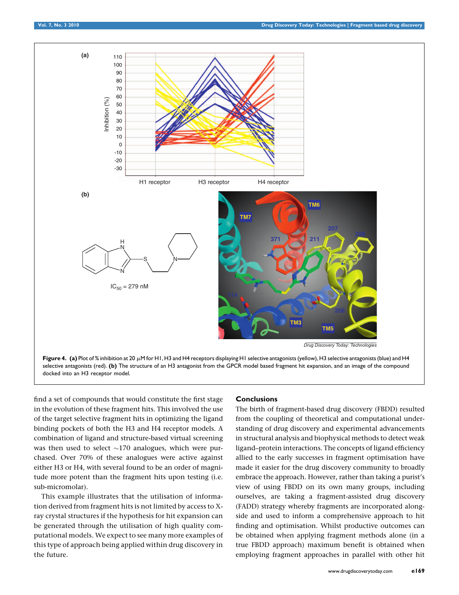<span id="page-6-0"></span>

docked into an H3 receptor model.

find a set of compounds that would constitute the first stage in the evolution of these fragment hits. This involved the use of the target selective fragment hits in optimizing the ligand binding pockets of both the H3 and H4 receptor models. A combination of ligand and structure-based virtual screening was then used to select  $\sim$ 170 analogues, which were purchased. Over 70% of these analogues were active against either H3 or H4, with several found to be an order of magnitude more potent than the fragment hits upon testing (i.e. sub-micromolar).

This example illustrates that the utilisation of information derived from fragment hits is not limited by access to Xray crystal structures if the hypothesis for hit expansion can be generated through the utilisation of high quality computational models. We expect to see many more examples of this type of approach being applied within drug discovery in the future.

#### **Conclusions**

The birth of fragment-based drug discovery (FBDD) resulted from the coupling of theoretical and computational understanding of drug discovery and experimental advancements in structural analysis and biophysical methods to detect weak ligand–protein interactions. The concepts of ligand efficiency allied to the early successes in fragment optimisation have made it easier for the drug discovery community to broadly embrace the approach. However, rather than taking a purist's view of using FBDD on its own many groups, including ourselves, are taking a fragment-assisted drug discovery (FADD) strategy whereby fragments are incorporated alongside and used to inform a comprehensive approach to hit finding and optimisation. Whilst productive outcomes can be obtained when applying fragment methods alone (in a true FBDD approach) maximum benefit is obtained when employing fragment approaches in parallel with other hit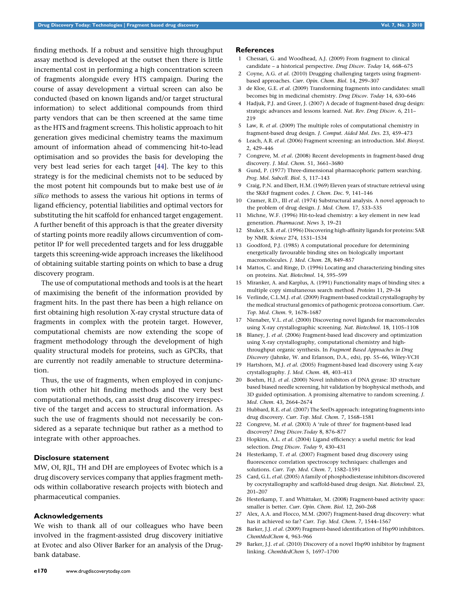<span id="page-7-0"></span>finding methods. If a robust and sensitive high throughput assay method is developed at the outset then there is little incremental cost in performing a high concentration screen of fragments alongside every HTS campaign. During the course of assay development a virtual screen can also be conducted (based on known ligands and/or target structural information) to select additional compounds from third party vendors that can be then screened at the same time as the HTS and fragment screens. This holistic approach to hit generation gives medicinal chemistry teams the maximum amount of information ahead of commencing hit-to-lead optimisation and so provides the basis for developing the very best lead series for each target [\[44\]](#page-8-0). The key to this strategy is for the medicinal chemists not to be seduced by the most potent hit compounds but to make best use of in silico methods to assess the various hit options in terms of ligand efficiency, potential liabilities and optimal vectors for substituting the hit scaffold for enhanced target engagement. A further benefit of this approach is that the greater diversity of starting points more readily allows circumvention of competitor IP for well precedented targets and for less druggable targets this screening-wide approach increases the likelihood of obtaining suitable starting points on which to base a drug discovery program.

The use of computational methods and tools is at the heart of maximising the benefit of the information provided by fragment hits. In the past there has been a high reliance on first obtaining high resolution X-ray crystal structure data of fragments in complex with the protein target. However, computational chemists are now extending the scope of fragment methodology through the development of high quality structural models for proteins, such as GPCRs, that are currently not readily amenable to structure determination.

Thus, the use of fragments, when employed in conjunction with other hit finding methods and the very best computational methods, can assist drug discovery irrespective of the target and access to structural information. As such the use of fragments should not necessarily be considered as a separate technique but rather as a method to integrate with other approaches.

#### Disclosure statement

MW, OI, RJL, TH and DH are employees of Evotec which is a drug discovery services company that applies fragment methods within collaborative research projects with biotech and pharmaceutical companies.

#### Acknowledgements

We wish to thank all of our colleagues who have been involved in the fragment-assisted drug discovery initiative at Evotec and also Oliver Barker for an analysis of the Drugbank database.

- 1 Chessari, G. and Woodhead, A.J. (2009) From fragment to clinical candidate – a historical perspective. Drug Discov. Today 14, 668–675
- 2 Coyne, A.G. et al. (2010) Drugging challenging targets using fragmentbased approaches. Curr. Opin. Chem. Biol. 14, 299–307
- 3 de Kloe, G.E. et al. (2009) Transforming fragments into candidates: small becomes big in medicinal chemistry. Drug Discov. Today 14, 630–646
- 4 Hadjuk, P.J. and Greer, J. (2007) A decade of fragment-based drug design: strategic advances and lessons learned. Nat. Rev. Drug Discov. 6, 211– 219
- 5 Law, R. et al. (2009) The multiple roles of computational chemistry in fragment-based drug design. J. Comput. Aided Mol. Des. 23, 459–473
- 6 Leach, A.R. et al. (2006) Fragment screening: an introduction. Mol. Biosyst. 2, 429–446
- 7 Congreve, M. et al. (2008) Recent developments in fragment-based drug discovery. J. Med. Chem. 51, 3661–3680
- 8 Gund, P. (1977) Three-dimensional pharmacophoric pattern searching. Prog. Mol. Subcell. Biol. 5, 117–143
- 9 Craig, P.N. and Ebert, H.M. (1969) Eleven years of structure retrieval using the SK&F fragment codes. J. Chem. Doc. 9, 141–146
- 10 Cramer, R.D., III et al. (1974) Substructural analysis. A novel approach to the problem of drug design. J. Med. Chem. 17, 533–535
- 11 Michne, W.F. (1996) Hit-to-lead chemistry: a key element in new lead generation. Pharmaceut. News 3, 19–21
- 12 Shuker, S.B. et al. (1996) Discovering high-affinity ligands for proteins: SAR by NMR. Science 274, 1531–1534
- 13 Goodford, P.J. (1985) A computational procedure for determining energetically favourable binding sites on biologically important macromolecules. J. Med. Chem. 28, 849–857
- 14 Mattos, C. and Ringe, D. (1996) Locating and characterizing binding sites on proteins. Nat. Biotechnol. 14, 595–599
- 15 Miranker, A. and Karplus, A. (1991) Functionality maps of binding sites: a multiple copy simultaneous search method. Proteins 11, 29–34
- 16 Verlinde, C.L.M.J. et al. (2009) Fragment-based cocktail crystallography by the medical structural genomics of pathogenic protozoa consortium. Curr. Top. Med. Chem. 9, 1678–1687
- 17 Nienaber, V.L. et al. (2000) Discovering novel ligands for macromolecules using X-ray crystallographic screening. Nat. Biotechnol. 18, 1105–1108
- 18 Blaney, J. et al. (2006) Fragment-based lead discovery and optimization using X-ray crystallography, computational chemistry and highthroughput organic synthesis. In Fragment Based Approaches in Drug Discovery (Jahnke, W. and Erlanson, D.A., eds), pp. 55–66, Wiley-VCH
- 19 Hartshorn, M.J. et al. (2005) Fragment-based lead discovery using X-ray crystallography. J. Med. Chem. 48, 403–413
- 20 Boehm, H.J. et al. (2000) Novel inhibitors of DNA gyrase: 3D structure based biased needle screening, hit validation by biophysical methods, and 3D guided optimisation. A promising alternative to random screening. J. Med. Chem. 43, 2664–2674
- 21 Hubbard, R.E. et al. (2007) The SeeDs approach: integrating fragments into drug discovery. Curr. Top. Med. Chem. 7, 1568–1581
- 22 Congreve, M. et al. (2003) A 'rule of three' for fragment-based lead discovery? Drug Discov.Today 8, 876–877
- 23 Hopkins, A.L. et al. (2004) Ligand efficiency: a useful metric for lead selection. Drug Discov. Today 9, 430–431
- 24 Hesterkamp, T. et al. (2007) Fragment based drug discovery using fluorescence correlation spectroscopy techniques: challenges and solutions. Curr. Top. Med. Chem. 7, 1582–1591
- 25 Card, G.L. et al. (2005) A family of phosphodiesterase inhibitors discovered by cocrystallography and scaffold-based drug design. Nat. Biotechnol. 23, 201–207
- 26 Hesterkamp, T. and Whittaker, M. (2008) Fragment-based activity space: smaller is better. Curr. Opin. Chem. Biol. 12, 260–268
- 27 Alex, A.A. and Flocco, M.M. (2007) Fragment-based drug discovery: what has it achieved so far? Curr. Top. Med. Chem. 7, 1544–1567
- 28 Barker, J.J. et al. (2009) Fragment-based identification of Hsp90 inhibitors. ChemMedChem 4, 963–966
- 29 Barker, J.J. et al. (2010) Discovery of a novel Hsp90 inhibitor by fragment linking. ChemMedChem 5, 1697–1700